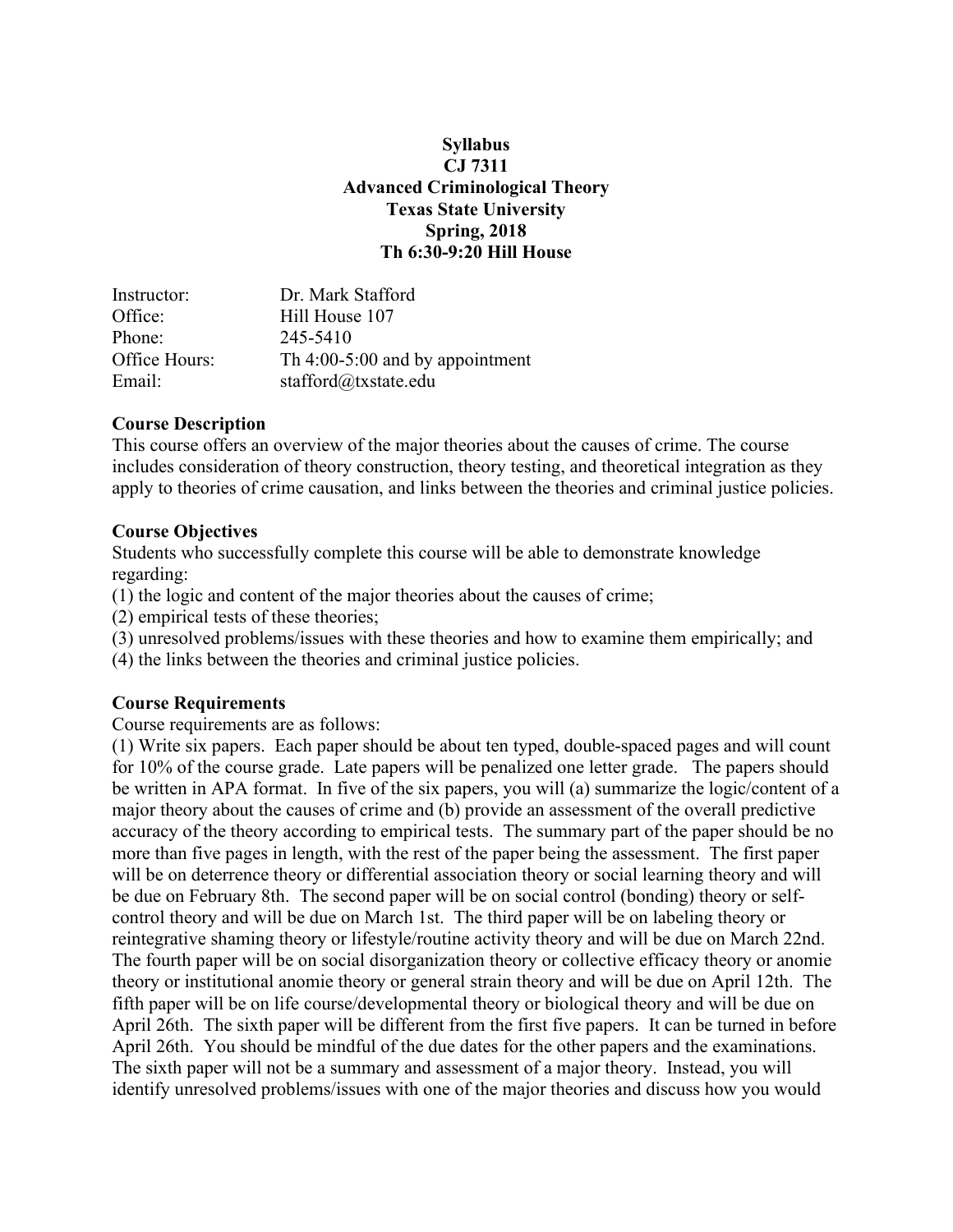### **Syllabus CJ 7311 Advanced Criminological Theory Texas State University Spring, 2018 Th 6:30-9:20 Hill House**

| Instructor:   | Dr. Mark Stafford                 |
|---------------|-----------------------------------|
| Office:       | Hill House 107                    |
| Phone:        | 245-5410                          |
| Office Hours: | Th $4:00-5:00$ and by appointment |
| Email:        | stafford@txstate.edu              |

### **Course Description**

This course offers an overview of the major theories about the causes of crime. The course includes consideration of theory construction, theory testing, and theoretical integration as they apply to theories of crime causation, and links between the theories and criminal justice policies.

## **Course Objectives**

Students who successfully complete this course will be able to demonstrate knowledge regarding:

(1) the logic and content of the major theories about the causes of crime;

(2) empirical tests of these theories;

(3) unresolved problems/issues with these theories and how to examine them empirically; and

(4) the links between the theories and criminal justice policies.

## **Course Requirements**

Course requirements are as follows:

(1) Write six papers. Each paper should be about ten typed, double-spaced pages and will count for 10% of the course grade. Late papers will be penalized one letter grade. The papers should be written in APA format. In five of the six papers, you will (a) summarize the logic/content of a major theory about the causes of crime and (b) provide an assessment of the overall predictive accuracy of the theory according to empirical tests. The summary part of the paper should be no more than five pages in length, with the rest of the paper being the assessment. The first paper will be on deterrence theory or differential association theory or social learning theory and will be due on February 8th. The second paper will be on social control (bonding) theory or selfcontrol theory and will be due on March 1st. The third paper will be on labeling theory or reintegrative shaming theory or lifestyle/routine activity theory and will be due on March 22nd. The fourth paper will be on social disorganization theory or collective efficacy theory or anomie theory or institutional anomie theory or general strain theory and will be due on April 12th. The fifth paper will be on life course/developmental theory or biological theory and will be due on April 26th. The sixth paper will be different from the first five papers. It can be turned in before April 26th. You should be mindful of the due dates for the other papers and the examinations. The sixth paper will not be a summary and assessment of a major theory. Instead, you will identify unresolved problems/issues with one of the major theories and discuss how you would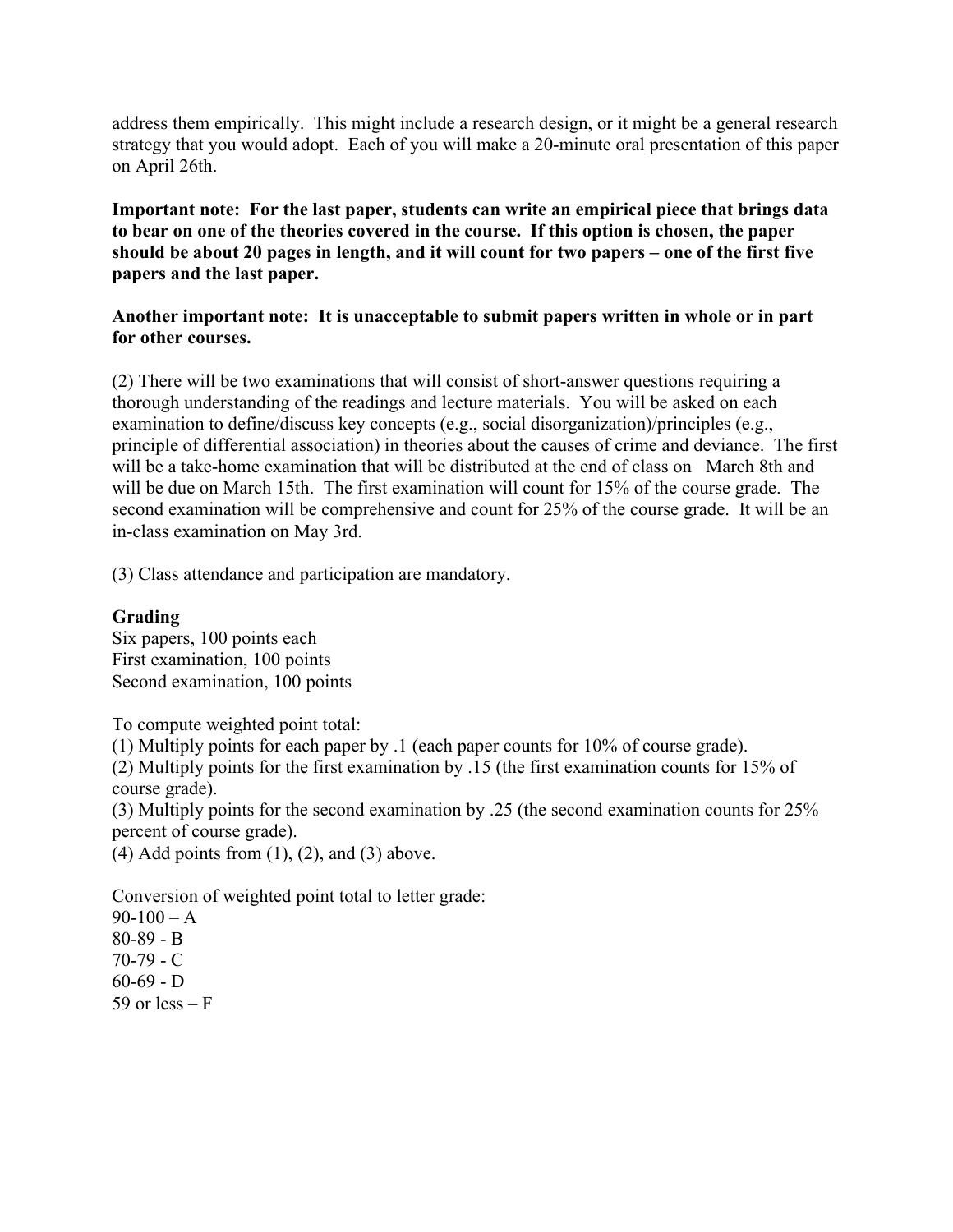address them empirically. This might include a research design, or it might be a general research strategy that you would adopt. Each of you will make a 20-minute oral presentation of this paper on April 26th.

**Important note: For the last paper, students can write an empirical piece that brings data to bear on one of the theories covered in the course. If this option is chosen, the paper should be about 20 pages in length, and it will count for two papers – one of the first five papers and the last paper.**

### **Another important note: It is unacceptable to submit papers written in whole or in part for other courses.**

(2) There will be two examinations that will consist of short-answer questions requiring a thorough understanding of the readings and lecture materials. You will be asked on each examination to define/discuss key concepts (e.g., social disorganization)/principles (e.g., principle of differential association) in theories about the causes of crime and deviance. The first will be a take-home examination that will be distributed at the end of class on March 8th and will be due on March 15th. The first examination will count for 15% of the course grade. The second examination will be comprehensive and count for 25% of the course grade. It will be an in-class examination on May 3rd.

(3) Class attendance and participation are mandatory.

### **Grading**

Six papers, 100 points each First examination, 100 points Second examination, 100 points

To compute weighted point total:

(1) Multiply points for each paper by .1 (each paper counts for 10% of course grade).

(2) Multiply points for the first examination by .15 (the first examination counts for 15% of course grade).

(3) Multiply points for the second examination by .25 (the second examination counts for 25% percent of course grade).

 $(4)$  Add points from  $(1)$ ,  $(2)$ , and  $(3)$  above.

Conversion of weighted point total to letter grade:

 $90-100 - A$ 80-89 - B 70-79 - C  $60-69 - D$ 59 or less  $- F$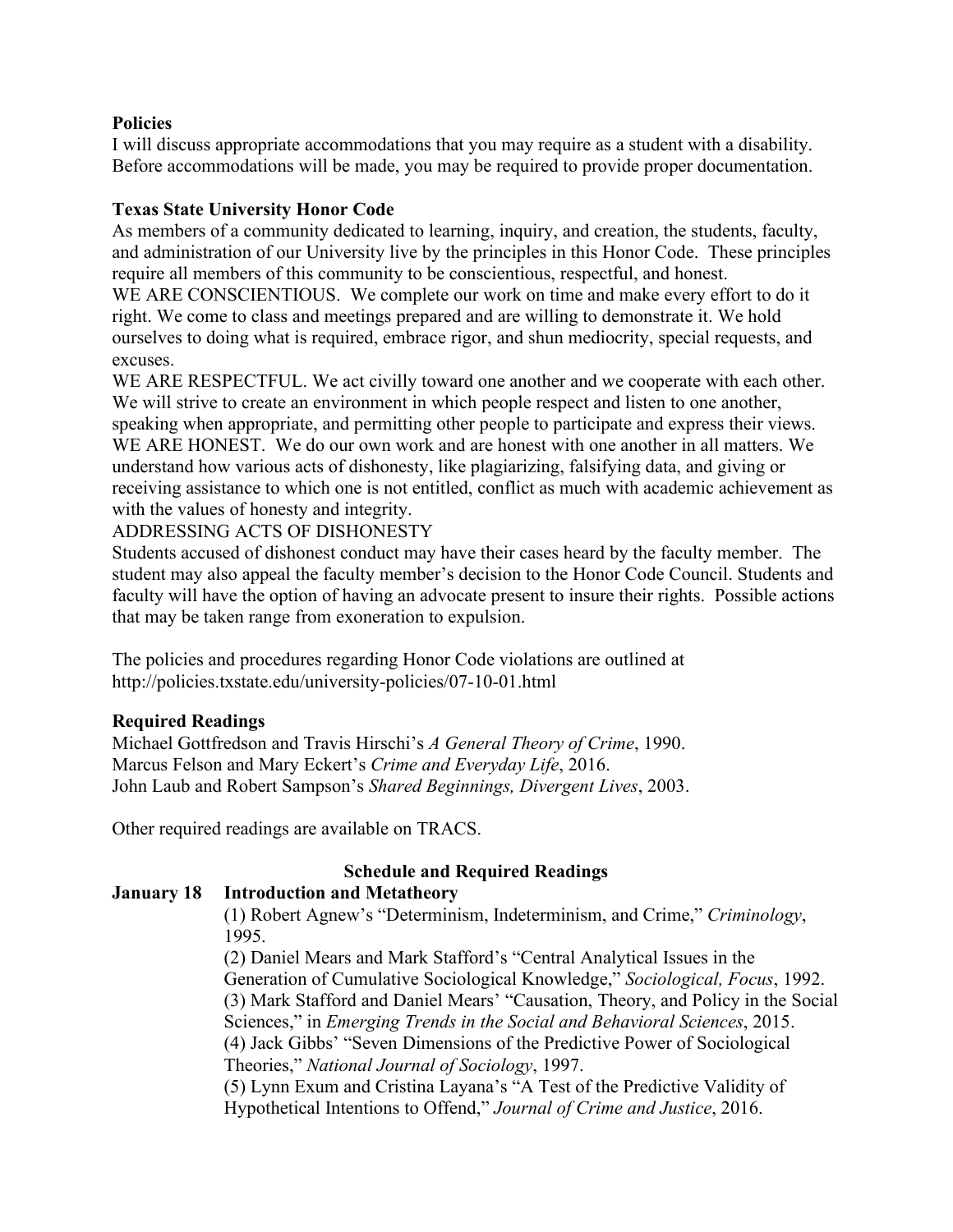### **Policies**

I will discuss appropriate accommodations that you may require as a student with a disability. Before accommodations will be made, you may be required to provide proper documentation.

## **Texas State University Honor Code**

As members of a community dedicated to learning, inquiry, and creation, the students, faculty, and administration of our University live by the principles in this Honor Code. These principles require all members of this community to be conscientious, respectful, and honest. WE ARE CONSCIENTIOUS. We complete our work on time and make every effort to do it right. We come to class and meetings prepared and are willing to demonstrate it. We hold ourselves to doing what is required, embrace rigor, and shun mediocrity, special requests, and excuses.

WE ARE RESPECTFUL. We act civilly toward one another and we cooperate with each other. We will strive to create an environment in which people respect and listen to one another, speaking when appropriate, and permitting other people to participate and express their views. WE ARE HONEST. We do our own work and are honest with one another in all matters. We understand how various acts of dishonesty, like plagiarizing, falsifying data, and giving or receiving assistance to which one is not entitled, conflict as much with academic achievement as with the values of honesty and integrity.

ADDRESSING ACTS OF DISHONESTY

Students accused of dishonest conduct may have their cases heard by the faculty member. The student may also appeal the faculty member's decision to the Honor Code Council. Students and faculty will have the option of having an advocate present to insure their rights. Possible actions that may be taken range from exoneration to expulsion.

The policies and procedures regarding Honor Code violations are outlined at http://policies.txstate.edu/university-policies/07-10-01.html

## **Required Readings**

Michael Gottfredson and Travis Hirschi's *A General Theory of Crime*, 1990. Marcus Felson and Mary Eckert's *Crime and Everyday Life*, 2016. John Laub and Robert Sampson's *Shared Beginnings, Divergent Lives*, 2003.

Other required readings are available on TRACS.

# **Schedule and Required Readings**

## **January 18 Introduction and Metatheory**

(1) Robert Agnew's "Determinism, Indeterminism, and Crime," *Criminology*, 1995.

(2) Daniel Mears and Mark Stafford's "Central Analytical Issues in the Generation of Cumulative Sociological Knowledge," *Sociological, Focus*, 1992. (3) Mark Stafford and Daniel Mears' "Causation, Theory, and Policy in the Social Sciences," in *Emerging Trends in the Social and Behavioral Sciences*, 2015. (4) Jack Gibbs' "Seven Dimensions of the Predictive Power of Sociological Theories," *National Journal of Sociology*, 1997. (5) Lynn Exum and Cristina Layana's "A Test of the Predictive Validity of

Hypothetical Intentions to Offend," *Journal of Crime and Justice*, 2016.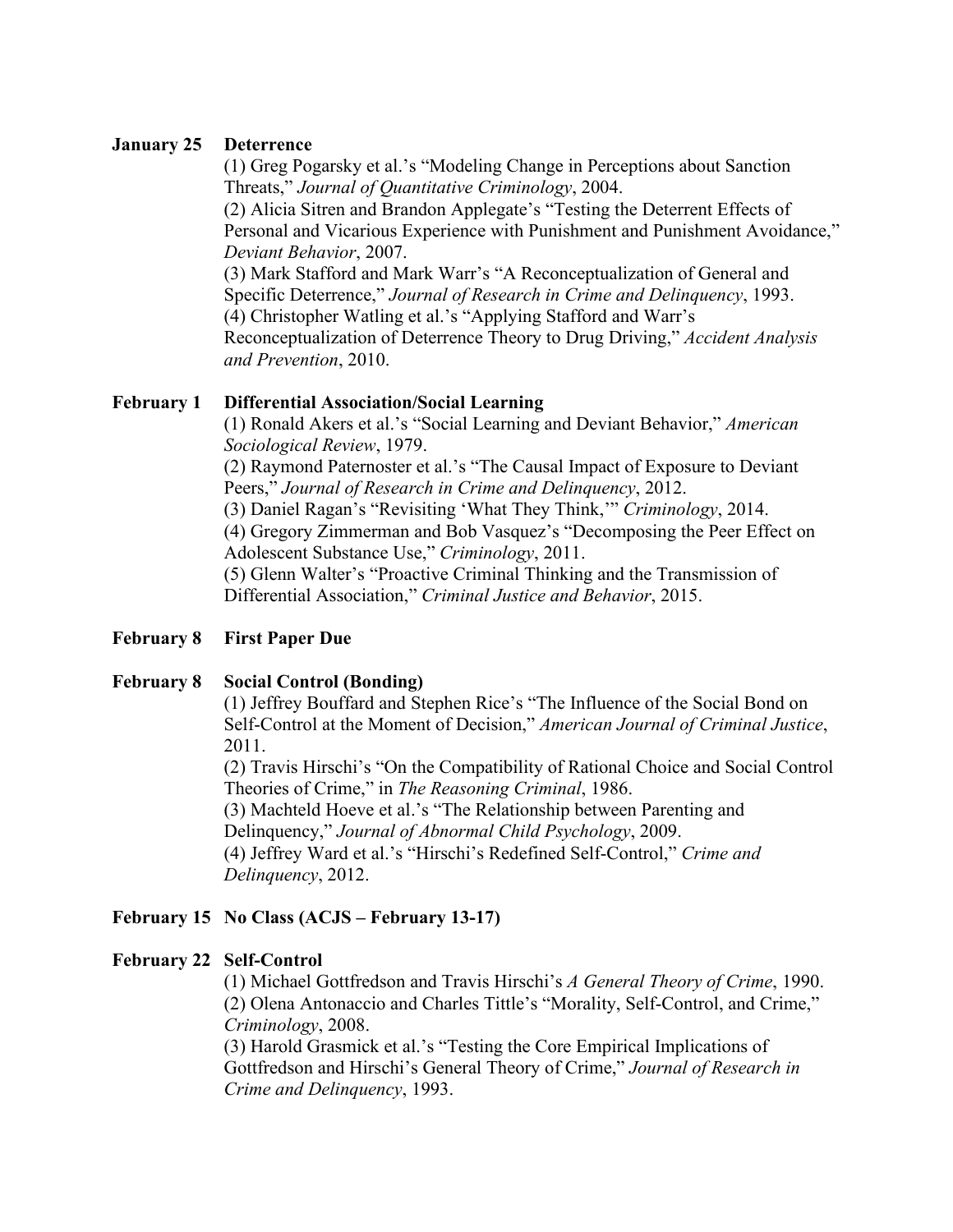### **January 25 Deterrence**

(1) Greg Pogarsky et al.'s "Modeling Change in Perceptions about Sanction Threats," *Journal of Quantitative Criminology*, 2004.

(2) Alicia Sitren and Brandon Applegate's "Testing the Deterrent Effects of Personal and Vicarious Experience with Punishment and Punishment Avoidance," *Deviant Behavior*, 2007.

(3) Mark Stafford and Mark Warr's "A Reconceptualization of General and Specific Deterrence," *Journal of Research in Crime and Delinquency*, 1993. (4) Christopher Watling et al.'s "Applying Stafford and Warr's Reconceptualization of Deterrence Theory to Drug Driving," *Accident Analysis and Prevention*, 2010.

## **February 1 Differential Association/Social Learning**

(1) Ronald Akers et al.'s "Social Learning and Deviant Behavior," *American Sociological Review*, 1979.

(2) Raymond Paternoster et al.'s "The Causal Impact of Exposure to Deviant Peers," *Journal of Research in Crime and Delinquency*, 2012.

(3) Daniel Ragan's "Revisiting 'What They Think,'" *Criminology*, 2014.

(4) Gregory Zimmerman and Bob Vasquez's "Decomposing the Peer Effect on Adolescent Substance Use," *Criminology*, 2011.

(5) Glenn Walter's "Proactive Criminal Thinking and the Transmission of Differential Association," *Criminal Justice and Behavior*, 2015.

## **February 8 First Paper Due**

#### **February 8 Social Control (Bonding)**

(1) Jeffrey Bouffard and Stephen Rice's "The Influence of the Social Bond on Self-Control at the Moment of Decision," *American Journal of Criminal Justice*, 2011.

(2) Travis Hirschi's "On the Compatibility of Rational Choice and Social Control Theories of Crime," in *The Reasoning Criminal*, 1986.

(3) Machteld Hoeve et al.'s "The Relationship between Parenting and Delinquency," *Journal of Abnormal Child Psychology*, 2009.

(4) Jeffrey Ward et al.'s "Hirschi's Redefined Self-Control," *Crime and Delinquency*, 2012.

## **February 15 No Class (ACJS – February 13-17)**

## **February 22 Self-Control**

(1) Michael Gottfredson and Travis Hirschi's *A General Theory of Crime*, 1990. (2) Olena Antonaccio and Charles Tittle's "Morality, Self-Control, and Crime," *Criminology*, 2008.

(3) Harold Grasmick et al.'s "Testing the Core Empirical Implications of Gottfredson and Hirschi's General Theory of Crime," *Journal of Research in Crime and Delinquency*, 1993.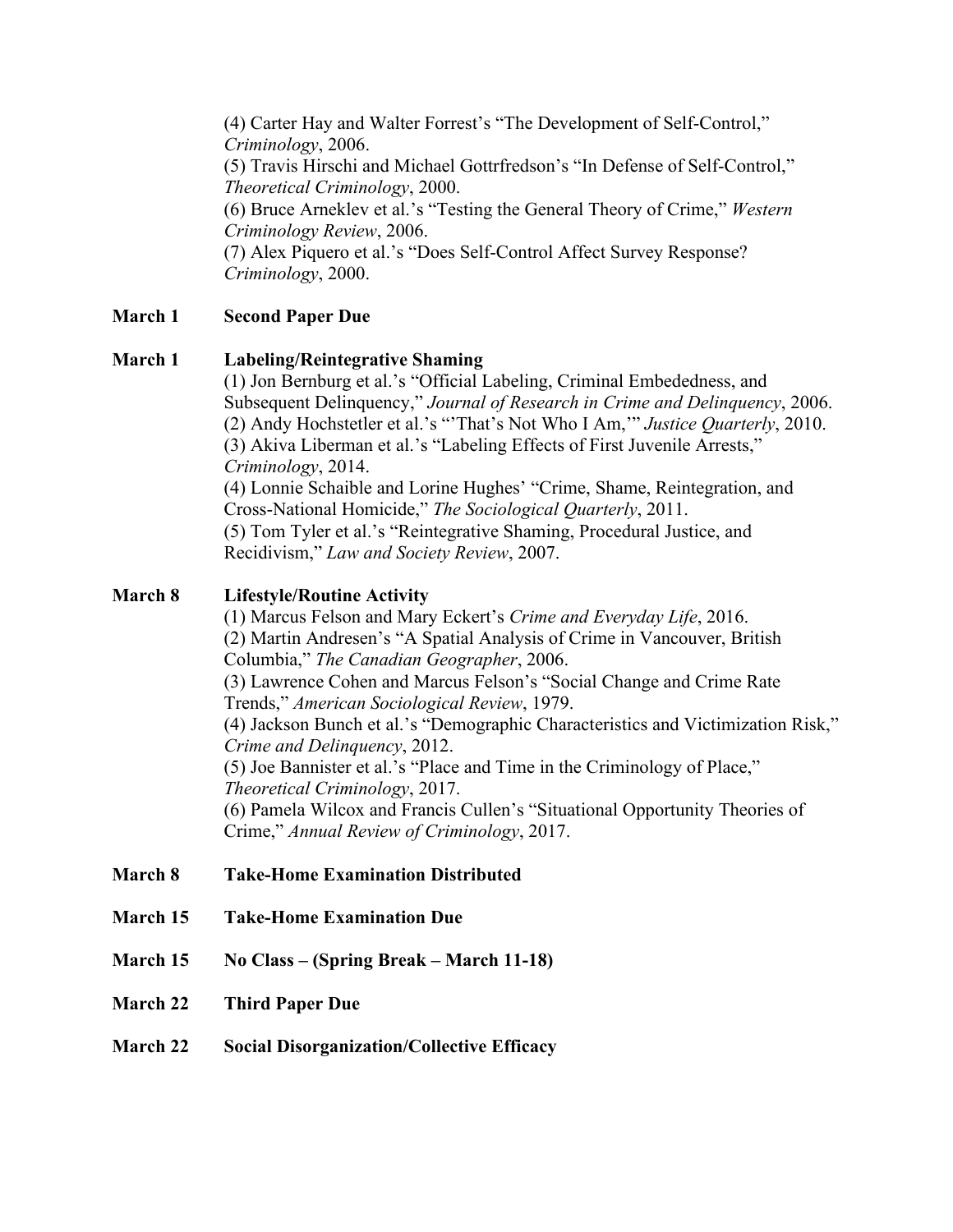(4) Carter Hay and Walter Forrest's "The Development of Self-Control," *Criminology*, 2006. (5) Travis Hirschi and Michael Gottrfredson's "In Defense of Self-Control," *Theoretical Criminology*, 2000. (6) Bruce Arneklev et al.'s "Testing the General Theory of Crime," *Western Criminology Review*, 2006. (7) Alex Piquero et al.'s "Does Self-Control Affect Survey Response? *Criminology*, 2000.

# **March 1 Second Paper Due**

## **March 1 Labeling/Reintegrative Shaming**

(1) Jon Bernburg et al.'s "Official Labeling, Criminal Embededness, and Subsequent Delinquency," *Journal of Research in Crime and Delinquency*, 2006. (2) Andy Hochstetler et al.'s "'That's Not Who I Am,'" *Justice Quarterly*, 2010. (3) Akiva Liberman et al.'s "Labeling Effects of First Juvenile Arrests," *Criminology*, 2014.

(4) Lonnie Schaible and Lorine Hughes' "Crime, Shame, Reintegration, and Cross-National Homicide," *The Sociological Quarterly*, 2011.

(5) Tom Tyler et al.'s "Reintegrative Shaming, Procedural Justice, and Recidivism," *Law and Society Review*, 2007.

## **March 8 Lifestyle/Routine Activity**

(1) Marcus Felson and Mary Eckert's *Crime and Everyday Life*, 2016. (2) Martin Andresen's "A Spatial Analysis of Crime in Vancouver, British Columbia," *The Canadian Geographer*, 2006. (3) Lawrence Cohen and Marcus Felson's "Social Change and Crime Rate Trends," *American Sociological Review*, 1979. (4) Jackson Bunch et al.'s "Demographic Characteristics and Victimization Risk," *Crime and Delinquency*, 2012. (5) Joe Bannister et al.'s "Place and Time in the Criminology of Place," *Theoretical Criminology*, 2017. (6) Pamela Wilcox and Francis Cullen's "Situational Opportunity Theories of Crime," *Annual Review of Criminology*, 2017.

## **March 8 Take-Home Examination Distributed**

- **March 15 Take-Home Examination Due**
- **March 15 No Class – (Spring Break – March 11-18)**
- **March 22 Third Paper Due**
- **March 22 Social Disorganization/Collective Efficacy**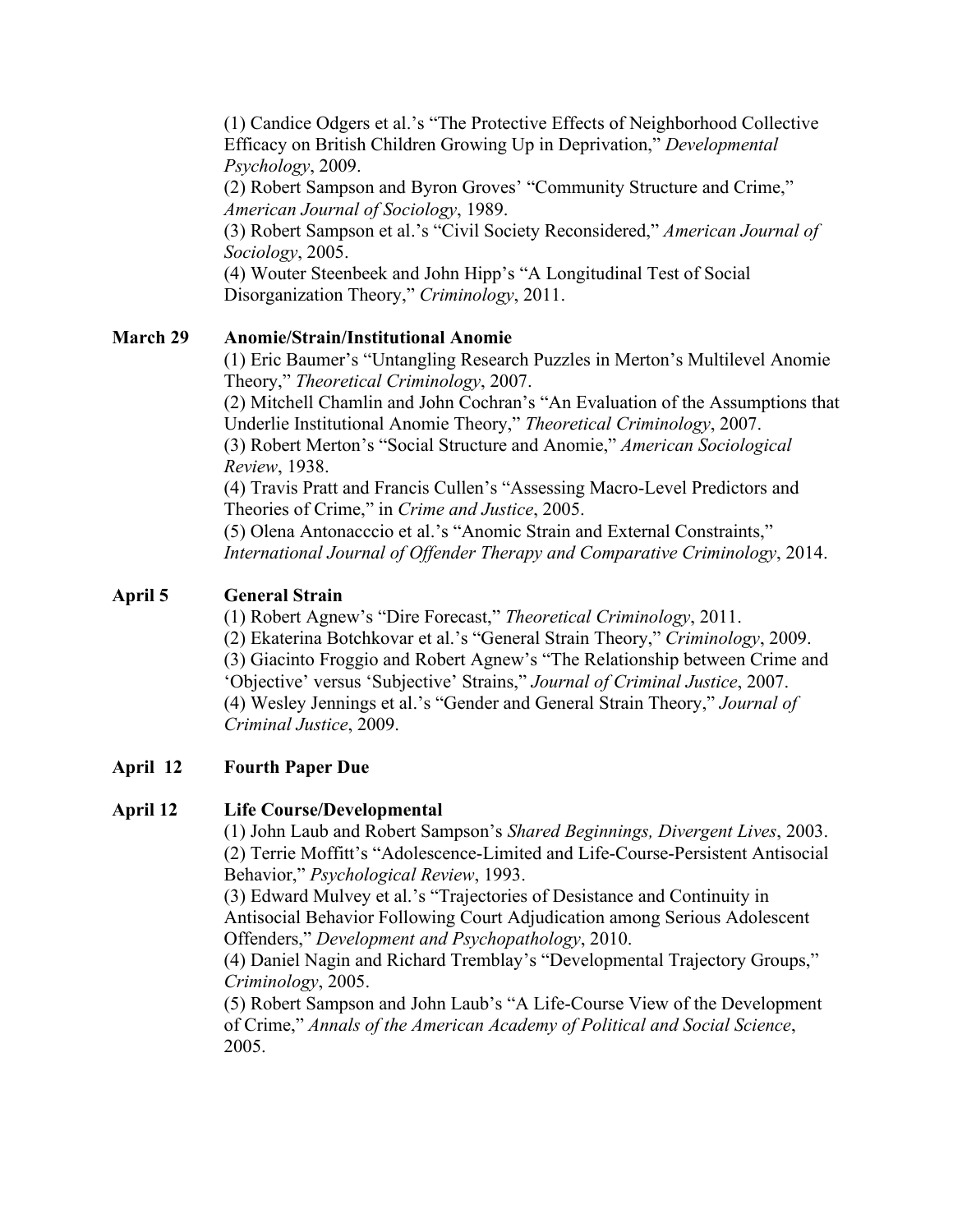(1) Candice Odgers et al.'s "The Protective Effects of Neighborhood Collective Efficacy on British Children Growing Up in Deprivation," *Developmental Psychology*, 2009.

(2) Robert Sampson and Byron Groves' "Community Structure and Crime," *American Journal of Sociology*, 1989.

(3) Robert Sampson et al.'s "Civil Society Reconsidered," *American Journal of Sociology*, 2005.

(4) Wouter Steenbeek and John Hipp's "A Longitudinal Test of Social Disorganization Theory," *Criminology*, 2011.

# **March 29 Anomie/Strain/Institutional Anomie**

(1) Eric Baumer's "Untangling Research Puzzles in Merton's Multilevel Anomie Theory," *Theoretical Criminology*, 2007.

(2) Mitchell Chamlin and John Cochran's "An Evaluation of the Assumptions that Underlie Institutional Anomie Theory," *Theoretical Criminology*, 2007.

(3) Robert Merton's "Social Structure and Anomie," *American Sociological Review*, 1938.

(4) Travis Pratt and Francis Cullen's "Assessing Macro-Level Predictors and Theories of Crime," in *Crime and Justice*, 2005.

(5) Olena Antonacccio et al.'s "Anomic Strain and External Constraints," *International Journal of Offender Therapy and Comparative Criminology*, 2014.

# **April 5 General Strain**

(1) Robert Agnew's "Dire Forecast," *Theoretical Criminology*, 2011.

(2) Ekaterina Botchkovar et al.'s "General Strain Theory," *Criminology*, 2009.

(3) Giacinto Froggio and Robert Agnew's "The Relationship between Crime and 'Objective' versus 'Subjective' Strains," *Journal of Criminal Justice*, 2007. (4) Wesley Jennings et al.'s "Gender and General Strain Theory," *Journal of Criminal Justice*, 2009.

# **April 12 Fourth Paper Due**

# **April 12 Life Course/Developmental**

(1) John Laub and Robert Sampson's *Shared Beginnings, Divergent Lives*, 2003. (2) Terrie Moffitt's "Adolescence-Limited and Life-Course-Persistent Antisocial Behavior," *Psychological Review*, 1993.

(3) Edward Mulvey et al.'s "Trajectories of Desistance and Continuity in Antisocial Behavior Following Court Adjudication among Serious Adolescent Offenders," *Development and Psychopathology*, 2010.

(4) Daniel Nagin and Richard Tremblay's "Developmental Trajectory Groups," *Criminology*, 2005.

(5) Robert Sampson and John Laub's "A Life-Course View of the Development of Crime," *Annals of the American Academy of Political and Social Science*, 2005.